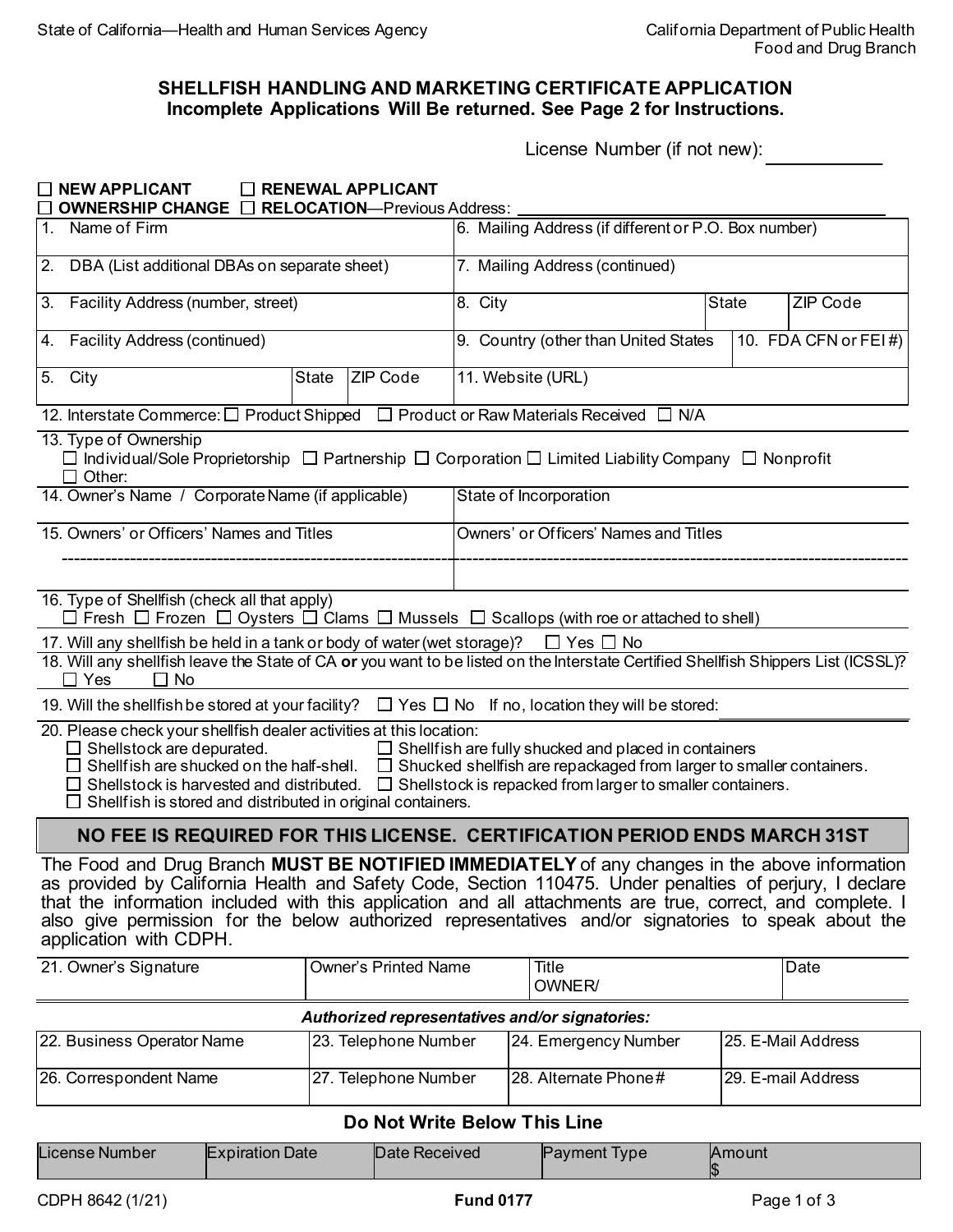## **Incomplete Applications Will Be returned. See Page 2 for Instructions. SHELLFISH HANDLING AND MARKETING CERTIFICATE APPLICATION**

License Number (if not new):

| <b>NEW APPLICANT</b>                                                                                                                                                                                                                                                                                                                                                                                                                                    | $\Box$ RENEWAL APPLICANT    |                                                              |                                                             |  |                 |
|---------------------------------------------------------------------------------------------------------------------------------------------------------------------------------------------------------------------------------------------------------------------------------------------------------------------------------------------------------------------------------------------------------------------------------------------------------|-----------------------------|--------------------------------------------------------------|-------------------------------------------------------------|--|-----------------|
| <b>OWNERSHIP CHANGE IN RELOCATION-Previous Address:</b><br>1. Name of Firm                                                                                                                                                                                                                                                                                                                                                                              |                             | 6. Mailing Address (if different or P.O. Box number)         |                                                             |  |                 |
| DBA (List additional DBAs on separate sheet)<br>2.                                                                                                                                                                                                                                                                                                                                                                                                      |                             | 7. Mailing Address (continued)                               |                                                             |  |                 |
| 3. Facility Address (number, street)                                                                                                                                                                                                                                                                                                                                                                                                                    |                             | 8. City                                                      | <b>State</b>                                                |  | <b>ZIP Code</b> |
| <b>Facility Address (continued)</b><br>4.                                                                                                                                                                                                                                                                                                                                                                                                               |                             | 9. Country (other than United States<br>10. FDA CFN or FEI#) |                                                             |  |                 |
| 5. City<br><b>State</b><br><b>ZIP Code</b>                                                                                                                                                                                                                                                                                                                                                                                                              |                             | 11. Website (URL)                                            |                                                             |  |                 |
| 12. Interstate Commerce: □ Product Shipped □ Product or Raw Materials Received □ N/A                                                                                                                                                                                                                                                                                                                                                                    |                             |                                                              |                                                             |  |                 |
| 13. Type of Ownership<br>□ Individual/Sole Proprietorship □ Partnership □ Corporation □ Limited Liability Company □ Nonprofit<br>$\Box$ Other:                                                                                                                                                                                                                                                                                                          |                             |                                                              |                                                             |  |                 |
| 14. Owner's Name / Corporate Name (if applicable)                                                                                                                                                                                                                                                                                                                                                                                                       |                             | State of Incorporation                                       |                                                             |  |                 |
| 15. Owners' or Officers' Names and Titles                                                                                                                                                                                                                                                                                                                                                                                                               |                             | Owners' or Officers' Names and Titles                        |                                                             |  |                 |
|                                                                                                                                                                                                                                                                                                                                                                                                                                                         |                             |                                                              |                                                             |  |                 |
| 16. Type of Shellfish (check all that apply)<br>$\Box$ Fresh $\Box$ Frozen $\Box$ Oysters $\Box$ Clams $\Box$ Mussels $\Box$ Scallops (with roe or attached to shell)                                                                                                                                                                                                                                                                                   |                             |                                                              |                                                             |  |                 |
| 17. Will any shellfish be held in a tank or body of water (wet storage)?<br>18. Will any shellfish leave the State of CA or you want to be listed on the Interstate Certified Shellfish Shippers List (ICSSL)?<br>$\square$ Yes<br>$\Box$ No                                                                                                                                                                                                            |                             |                                                              | $\Box$ Yes $\Box$ No                                        |  |                 |
| 19. Will the shellfish be stored at your facility? $\square$ Yes $\square$ No If no, location they will be stored:                                                                                                                                                                                                                                                                                                                                      |                             |                                                              |                                                             |  |                 |
| 20. Please check your shellfish dealer activities at this location:<br>$\Box$ Shellstock are depurated.<br>Shellfish are shucked on the half-shell. $\square$ Shucked shellfish are repackaged from larger to smaller containers.<br>Shellstock is harvested and distributed. $\Box$ Shellstock is repacked from larger to smaller containers.<br>$\Box$ Shellfish is stored and distributed in original containers.                                    |                             |                                                              | $\Box$ Shellfish are fully shucked and placed in containers |  |                 |
| NO FEE IS REQUIRED FOR THIS LICENSE. CERTIFICATION PERIOD ENDS MARCH 31ST                                                                                                                                                                                                                                                                                                                                                                               |                             |                                                              |                                                             |  |                 |
| The Food and Drug Branch MUST BE NOTIFIED IMMEDIATELY of any changes in the above information<br>as provided by California Health and Safety Code, Section 110475. Under penalties of perjury, I declare<br>that the information included with this application and all attachments are true, correct, and complete. I<br>also give permission for the below authorized representatives and/or signatories to speak about the<br>application with CDPH. |                             |                                                              |                                                             |  |                 |
| 21. Owner's Signature                                                                                                                                                                                                                                                                                                                                                                                                                                   | <b>Owner's Printed Name</b> |                                                              | Title<br>OWNER/                                             |  | Date            |
| Authorized representatives and/or signatories:                                                                                                                                                                                                                                                                                                                                                                                                          |                             |                                                              |                                                             |  |                 |

| 22. Business Operator Name | 23. Telephone Number | 24. Emergency Number     | 25. E-Mail Address        |
|----------------------------|----------------------|--------------------------|---------------------------|
| 26. Correspondent Name     | 27. Telephone Number | $ 28.$ Alternate Phone # | <b>29. E-mail Address</b> |

## **Do Not Write Below This Line**

| License Number | <b>Expiration Date</b> | <b>Date Received</b> | <b>Payment</b><br><b>Ivpe</b> | <b>IAmount</b> |
|----------------|------------------------|----------------------|-------------------------------|----------------|
|                |                        |                      |                               |                |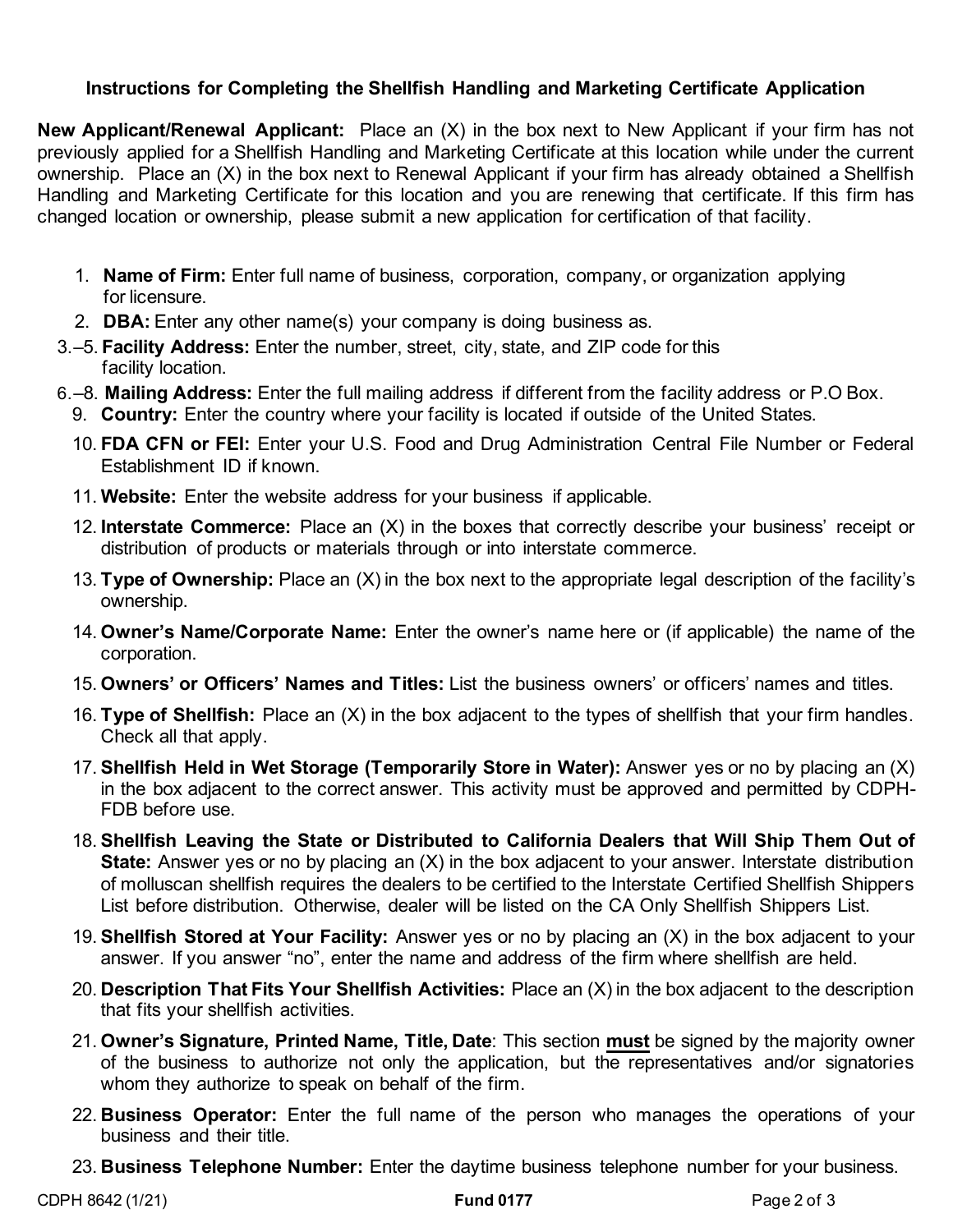## **Instructions for Completing the Shellfish Handling and Marketing Certificate Application**

 **New Applicant/Renewal Applicant:** Place an (X) in the box next to New Applicant if your firm has not previously applied for a Shellfish Handling and Marketing Certificate at this location while under the current ownership. Place an (X) in the box next to Renewal Applicant if your firm has already obtained a Shellfish Handling and Marketing Certificate for this location and you are renewing that certificate. If this firm has changed location or ownership, please submit a new application for certification of that facility.

- 1. **Name of Firm:** Enter full name of business, corporation, company, or organization applying for licensure.
- 2. **DBA:** Enter any other name(s) your company is doing business as.
- 3.–5. **Facility Address:** Enter the number, street, city, state, and ZIP code for this facility location.
- 6.–8. **Mailing Address:** Enter the full mailing address if different from the facility address or P.O Box.
	- 9. **Country:** Enter the country where your facility is located if outside of the United States.
	- 10. **FDA CFN or FEI:** Enter your U.S. Food and Drug Administration Central File Number or Federal Establishment ID if known.
	- 11. **Website:** Enter the website address for your business if applicable.
	- 12. **Interstate Commerce:** Place an (X) in the boxes that correctly describe your business' receipt or distribution of products or materials through or into interstate commerce.
	- 13. **Type of Ownership:** Place an (X) in the box next to the appropriate legal description of the facility's ownership.
	- 14. **Owner's Name/Corporate Name:** Enter the owner's name here or (if applicable) the name of the corporation.
	- 15. **Owners' or Officers' Names and Titles:** List the business owners' or officers' names and titles.
	- 16. **Type of Shellfish:** Place an (X) in the box adjacent to the types of shellfish that your firm handles. Check all that apply.
	- 17. **Shellfish Held in Wet Storage (Temporarily Store in Water):** Answer yes or no by placing an (X) in the box adjacent to the correct answer. This activity must be approved and permitted by CDPH-FDB before use.
	- 18. **Shellfish Leaving the State or Distributed to California Dealers that Will Ship Them Out of State:** Answer yes or no by placing an (X) in the box adjacent to your answer. Interstate distribution of molluscan shellfish requires the dealers to be certified to the Interstate Certified Shellfish Shippers List before distribution. Otherwise, dealer will be listed on the CA Only Shellfish Shippers List.
	- 19. **Shellfish Stored at Your Facility:** Answer yes or no by placing an (X) in the box adjacent to your answer. If you answer "no", enter the name and address of the firm where shellfish are held.
	- 20. **Description That Fits Your Shellfish Activities:** Place an (X) in the box adjacent to the description that fits your shellfish activities.
	- 21. **Owner's Signature, Printed Name, Title, Date**: This section **must** be signed by the majority owner of the business to authorize not only the application, but the representatives and/or signatories whom they authorize to speak on behalf of the firm.
	- 22. **Business Operator:** Enter the full name of the person who manages the operations of your business and their title.
	- 23. **Business Telephone Number:** Enter the daytime business telephone number for your business.